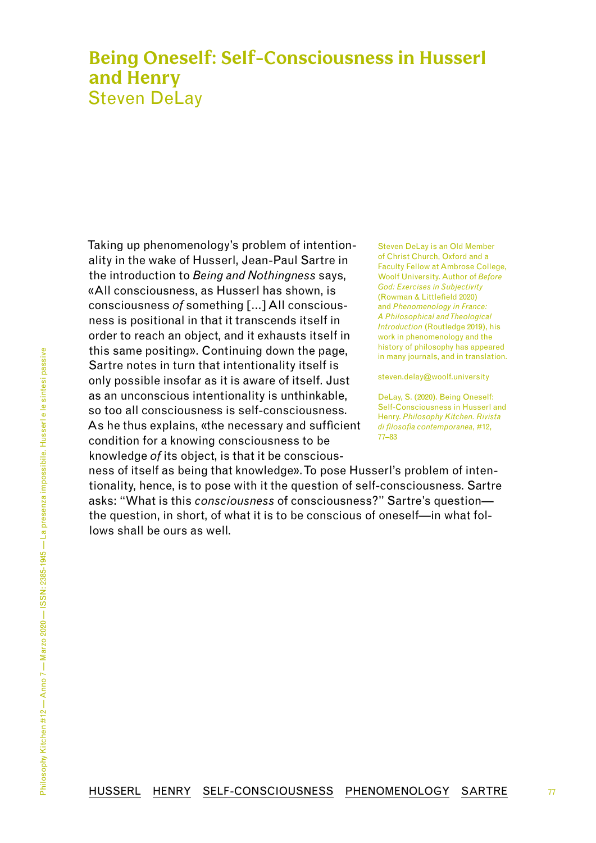## <span id="page-0-0"></span>**Being Oneself: Self-Consciousness in Husserl and Henry** Steven DeLay

Taking up phenomenology's problem of intentionality in the wake of Husserl, Jean-Paul Sartre in the introduction to *Being and Nothingness* says, «All consciousness, as Husserl has shown, is consciousness *of* something […] All consciousness is positional in that it transcends itself in order to reach an object, and it exhausts itself in this same positing». Continuing down the page, Sartre notes in turn that intentionality itself is only possible insofar as it is aware of itself. Just as an unconscious intentionality is unthinkable, so too all consciousness is self-consciousness. As he thus explains, «the necessary and sufficient condition for a knowing consciousness to be knowledge *of* its object, is that it be consciousSteven DeLay is an Old Member of Christ Church, Oxford and a Faculty Fellow at Ambrose College, Woolf University. Author of *Before God: Exercises in Subjectivity* (Rowman & Littlefield 2020) and *Phenomenology in France: A Philosophical and Theological Introduction* (Routledge 2019), his work in phenomenology and the history of philosophy has appeared in many journals, and in translation.

steven.delay@woolf.university

DeLay, S. (2020). Being Oneself: Self-Consciousness in Husserl and Henry. *Philosophy Kitchen. Rivista di filosofia contemporanea*, #12, [77](#page-0-0)[–83](#page-6-0)

77

ness of itself as being that knowledge». To pose Husserl's problem of intentionality, hence, is to pose with it the question of self-consciousness. Sartre asks: "What is this *consciousness* of consciousness?" Sartre's question the question, in short, of what it is to be conscious of oneself—in what follows shall be ours as well.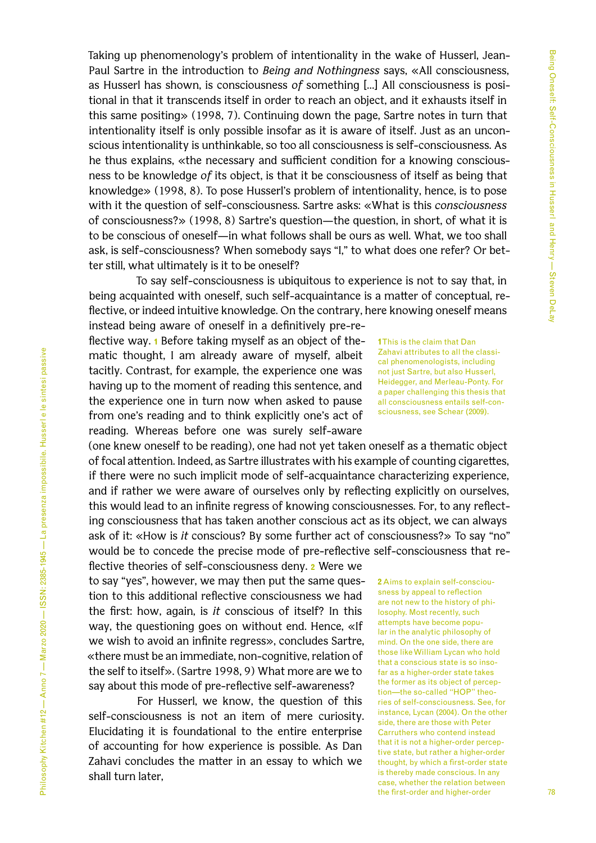Taking up phenomenology's problem of intentionality in the wake of Husserl, Jean-Paul Sartre in the introduction to *Being and Nothingness* says, «All consciousness, as Husserl has shown, is consciousness *of* something […] All consciousness is positional in that it transcends itself in order to reach an object, and it exhausts itself in this same positing» (1998, 7). Continuing down the page, Sartre notes in turn that intentionality itself is only possible insofar as it is aware of itself. Just as an unconscious intentionality is unthinkable, so too all consciousness is self-consciousness. As he thus explains, «the necessary and sufficient condition for a knowing consciousness to be knowledge *of* its object, is that it be consciousness of itself as being that knowledge» (1998, 8). To pose Husserl's problem of intentionality, hence, is to pose with it the question of self-consciousness. Sartre asks: «What is this *consciousness* of consciousness?» (1998, 8) Sartre's question—the question, in short, of what it is to be conscious of oneself—in what follows shall be ours as well. What, we too shall ask, is self-consciousness? When somebody says "I," to what does one refer? Or better still, what ultimately is it to be oneself?

To say self-consciousness is ubiquitous to experience is not to say that, in being acquainted with oneself, such self-acquaintance is a matter of conceptual, reflective, or indeed intuitive knowledge. On the contrary, here knowing oneself means instead being aware of oneself in a definitively pre-re-

flective way. **1** Before taking myself as an object of thematic thought, I am already aware of myself, albeit tacitly. Contrast, for example, the experience one was having up to the moment of reading this sentence, and the experience one in turn now when asked to pause from one's reading and to think explicitly one's act of reading. Whereas before one was surely self-aware

(one knew oneself to be reading), one had not yet taken oneself as a thematic object of focal attention. Indeed, as Sartre illustrates with his example of counting cigarettes, if there were no such implicit mode of self-acquaintance characterizing experience, and if rather we were aware of ourselves only by reflecting explicitly on ourselves, this would lead to an infinite regress of knowing consciousnesses. For, to any reflecting consciousness that has taken another conscious act as its object, we can always ask of it: «How is *it* conscious? By some further act of consciousness?» To say "no" would be to concede the precise mode of pre-reflective self-consciousness that re-

flective theories of self-consciousness deny. **2** Were we to say "yes", however, we may then put the same question to this additional reflective consciousness we had the first: how, again, is *it* conscious of itself? In this way, the questioning goes on without end. Hence, «If we wish to avoid an infinite regress», concludes Sartre, «there must be an immediate, non-cognitive, relation of the self to itself». (Sartre 1998, 9) What more are we to say about this mode of pre-reflective self-awareness?

For Husserl, we know, the question of this self-consciousness is not an item of mere curiosity. Elucidating it is foundational to the entire enterprise of accounting for how experience is possible. As Dan Zahavi concludes the matter in an essay to which we shall turn later,

**1** This is the claim that Dan Zahavi attributes to all the classical phenomenologists, including not just Sartre, but also Husserl, Heidegger, and Merleau-Ponty. For a paper challenging this thesis that all consciousness entails self-consciousness, see Schear (2009).

**2** Aims to explain self-consciousness by appeal to reflection are not new to the history of philosophy. Most recently, such attempts have become popular in the analytic philosophy of mind. On the one side, there are those like William Lycan who hold that a conscious state is so insofar as a higher-order state takes the former as its object of perception—the so-called "HOP" theories of self-consciousness. See, for instance, Lycan (2004). On the other side, there are those with Peter Carruthers who contend instead that it is not a higher-order perceptive state, but rather a higher-order thought, by which a first-order state is thereby made conscious. In any case, whether the relation between the first-order and higher-order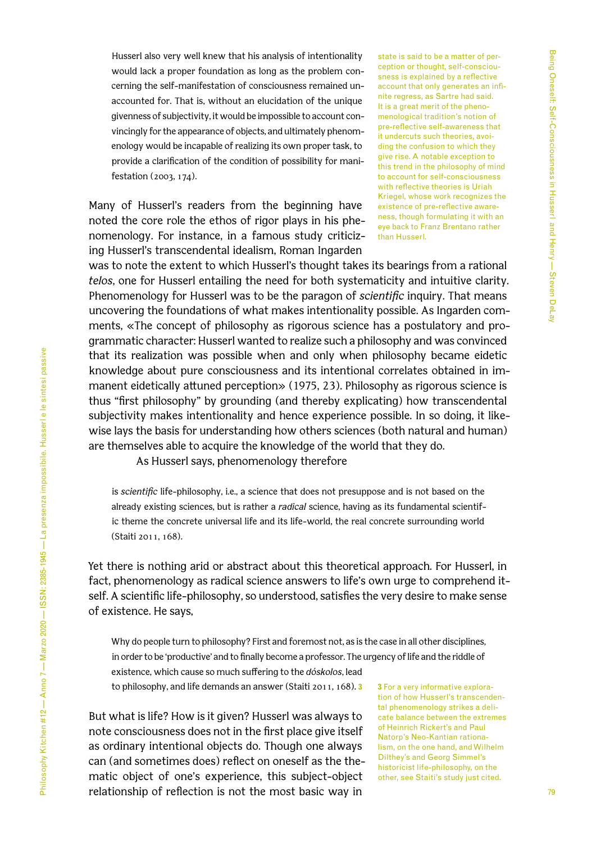Husserl also very well knew that his analysis of intentionality would lack a proper foundation as long as the problem concerning the self-manifestation of consciousness remained unaccounted for. That is, without an elucidation of the unique givenness of subjectivity, it would be impossible to account convincingly for the appearance of objects, and ultimately phenomenology would be incapable of realizing its own proper task, to provide a clarification of the condition of possibility for manifestation (2003, 174).

Many of Husserl's readers from the beginning have noted the core role the ethos of rigor plays in his phenomenology. For instance, in a famous study criticizing Husserl's transcendental idealism, Roman Ingarden

state is said to be a matter of perception or thought, self-consciousness is explained by a reflective account that only generates an infinite regress, as Sartre had said. It is a great merit of the phenomenological tradition's notion of pre-reflective self-awareness that it undercuts such theories, avoiding the confusion to which they give rise. A notable exception to this trend in the philosophy of mind to account for self-consciousness with reflective theories is Uriah Kriegel, whose work recognizes the existence of pre-reflective awareness, though formulating it with an eye back to Franz Brentano rather than Husserl.

was to note the extent to which Husserl's thought takes its bearings from a rational *telos*, one for Husserl entailing the need for both systematicity and intuitive clarity. Phenomenology for Husserl was to be the paragon of *scientific* inquiry. That means uncovering the foundations of what makes intentionality possible. As Ingarden comments, «The concept of philosophy as rigorous science has a postulatory and programmatic character: Husserl wanted to realize such a philosophy and was convinced that its realization was possible when and only when philosophy became eidetic knowledge about pure consciousness and its intentional correlates obtained in immanent eidetically attuned perception» (1975, 23). Philosophy as rigorous science is thus "first philosophy" by grounding (and thereby explicating) how transcendental subjectivity makes intentionality and hence experience possible. In so doing, it likewise lays the basis for understanding how others sciences (both natural and human) are themselves able to acquire the knowledge of the world that they do.

As Husserl says, phenomenology therefore

is *scientific* life-philosophy, i.e., a science that does not presuppose and is not based on the already existing sciences, but is rather a *radical* science, having as its fundamental scientific theme the concrete universal life and its life-world, the real concrete surrounding world (Staiti 2011, 168).

Yet there is nothing arid or abstract about this theoretical approach. For Husserl, in fact, phenomenology as radical science answers to life's own urge to comprehend itself. A scientific life-philosophy, so understood, satisfies the very desire to make sense of existence. He says,

Why do people turn to philosophy? First and foremost not, as is the case in all other disciplines, in order to be 'productive' and to finally become a professor. The urgency of life and the riddle of existence, which cause so much suffering to the *dóskolos*, lead to philosophy, and life demands an answer (Staiti 2011, 168). **3**

But what is life? How is it given? Husserl was always to note consciousness does not in the first place give itself as ordinary intentional objects do. Though one always can (and sometimes does) reflect on oneself as the thematic object of one's experience, this subject-object relationship of reflection is not the most basic way in

**3** For a very informative exploration of how Husserl's transcendental phenomenology strikes a delicate balance between the extremes of Heinrich Rickert's and Paul Natorp's Neo-Kantian rationalism, on the one hand, and Wilhelm Dilthey's and Georg Simmel's historicist life-philosophy, on the other, see Staiti's study just cited.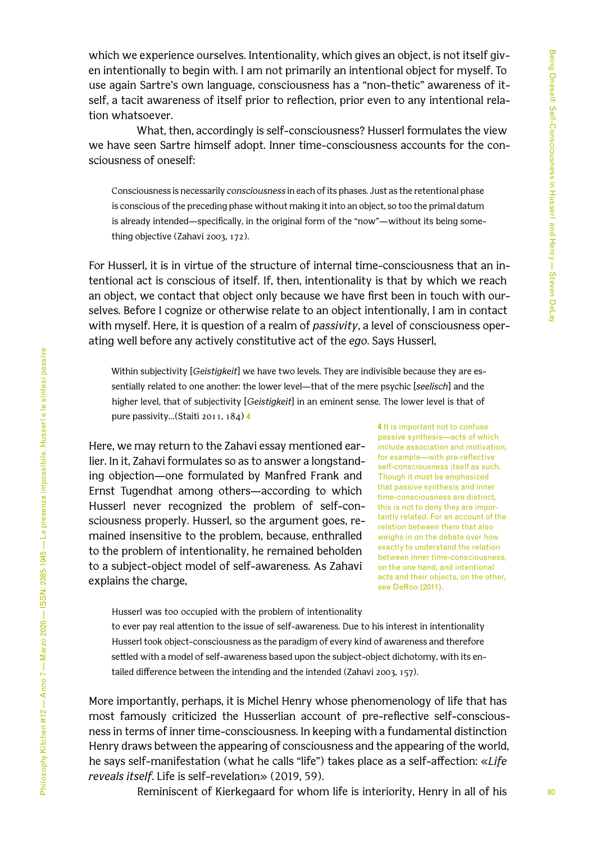which we experience ourselves. Intentionality, which gives an object, is not itself given intentionally to begin with. I am not primarily an intentional object for myself. To use again Sartre's own language, consciousness has a "non-thetic" awareness of itself, a tacit awareness of itself prior to reflection, prior even to any intentional relation whatsoever.

What, then, accordingly is self-consciousness? Husserl formulates the view we have seen Sartre himself adopt. Inner time-consciousness accounts for the consciousness of oneself:

Consciousness is necessarily *consciousness* in each of its phases. Just as the retentional phase is conscious of the preceding phase without making it into an object, so too the primal datum is already intended—specifically, in the original form of the "now"—without its being something objective (Zahavi 2003, 172).

For Husserl, it is in virtue of the structure of internal time-consciousness that an intentional act is conscious of itself. If, then, intentionality is that by which we reach an object, we contact that object only because we have first been in touch with ourselves. Before I cognize or otherwise relate to an object intentionally, I am in contact with myself. Here, it is question of a realm of *passivity*, a level of consciousness operating well before any actively constitutive act of the *ego*. Says Husserl,

Within subjectivity [*Geistigkeit*] we have two levels. They are indivisible because they are essentially related to one another: the lower level—that of the mere psychic [*seelisch*] and the higher level, that of subjectivity [*Geistigkeit*] in an eminent sense. The lower level is that of pure passivity…(Staiti 2011, 184) **4**

Here, we may return to the Zahavi essay mentioned earlier. In it, Zahavi formulates so as to answer a longstanding objection—one formulated by Manfred Frank and Ernst Tugendhat among others—according to which Husserl never recognized the problem of self-consciousness properly. Husserl, so the argument goes, remained insensitive to the problem, because, enthralled to the problem of intentionality, he remained beholden to a subject-object model of self-awareness. As Zahavi explains the charge,

**4** It is important not to confuse passive synthesis—acts of which include association and motivation, for example—with pre-reflective self-consciousness itself as such. Though it must be emphasized that passive synthesis and inner time-consciousness are distinct, this is not to deny they are importantly related. For an account of the relation between them that also weighs in on the debate over how exactly to understand the relation between inner time-consciousness, on the one hand, and intentional acts and their objects, on the other, see DeRoo (2011).

Husserl was too occupied with the problem of intentionality

to ever pay real attention to the issue of self-awareness. Due to his interest in intentionality Husserl took object-consciousness as the paradigm of every kind of awareness and therefore settled with a model of self-awareness based upon the subject-object dichotomy, with its entailed difference between the intending and the intended (Zahavi 2003, 157).

More importantly, perhaps, it is Michel Henry whose phenomenology of life that has most famously criticized the Husserlian account of pre-reflective self-consciousness in terms of inner time-consciousness. In keeping with a fundamental distinction Henry draws between the appearing of consciousness and the appearing of the world, he says self-manifestation (what he calls "life") takes place as a self-affection: «*Life reveals itself*. Life is self-revelation» (2019, 59).

Reminiscent of Kierkegaard for whom life is interiority, Henry in all of his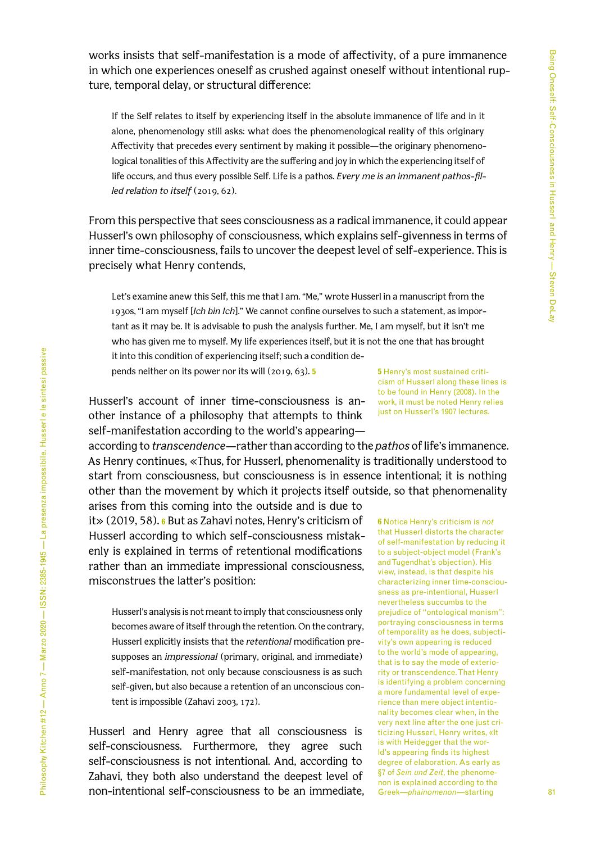works insists that self-manifestation is a mode of affectivity, of a pure immanence in which one experiences oneself as crushed against oneself without intentional rupture, temporal delay, or structural difference:

If the Self relates to itself by experiencing itself in the absolute immanence of life and in it alone, phenomenology still asks: what does the phenomenological reality of this originary Affectivity that precedes every sentiment by making it possible—the originary phenomenological tonalities of this Affectivity are the suffering and joy in which the experiencing itself of life occurs, and thus every possible Self. Life is a pathos. *Every me is an immanent pathos-filled relation to itself* (2019, 62).

From this perspective that sees consciousness as a radical immanence, it could appear Husserl's own philosophy of consciousness, which explains self-givenness in terms of inner time-consciousness, fails to uncover the deepest level of self-experience. This is precisely what Henry contends,

Let's examine anew this Self, this me that I am. "Me," wrote Husserl in a manuscript from the 1930s, "I am myself [*Ich bin Ich*]." We cannot confine ourselves to such a statement, as important as it may be. It is advisable to push the analysis further. Me, I am myself, but it isn't me who has given me to myself. My life experiences itself, but it is not the one that has brought it into this condition of experiencing itself; such a condition depends neither on its power nor its will (2019, 63). **5**

Husserl's account of inner time-consciousness is another instance of a philosophy that attempts to think self-manifestation according to the world's appearing—

according to *transcendence*—rather than according to the *pathos* of life's immanence. As Henry continues, «Thus, for Husserl, phenomenality is traditionally understood to start from consciousness, but consciousness is in essence intentional; it is nothing other than the movement by which it projects itself outside, so that phenomenality

arises from this coming into the outside and is due to it» (2019, 58). **6** But as Zahavi notes, Henry's criticism of Husserl according to which self-consciousness mistakenly is explained in terms of retentional modifications rather than an immediate impressional consciousness, misconstrues the latter's position:

Husserl's analysis is not meant to imply that consciousness only becomes aware of itself through the retention. On the contrary, Husserl explicitly insists that the *retentional* modification presupposes an *impressional* (primary, original, and immediate) self-manifestation, not only because consciousness is as such self-given, but also because a retention of an unconscious content is impossible (Zahavi 2003, 172).

Husserl and Henry agree that all consciousness is self-consciousness. Furthermore, they agree such self-consciousness is not intentional. And, according to Zahavi, they both also understand the deepest level of non-intentional self-consciousness to be an immediate, **5** Henry's most sustained criticism of Husserl along these lines is to be found in Henry (2008). In the work, it must be noted Henry relies just on Husserl's 1907 lectures.

**6** Notice Henry's criticism is *not* that Husserl distorts the character of self-manifestation by reducing it to a subject-object model (Frank's and Tugendhat's objection). His view, instead, is that despite his characterizing inner time-consciousness as pre-intentional, Husserl nevertheless succumbs to the prejudice of "ontological monism": portraying consciousness in terms of temporality as he does, subjectivity's own appearing is reduced to the world's mode of appearing, that is to say the mode of exteriority or transcendence. That Henry is identifying a problem concerning a more fundamental level of experience than mere object intentionality becomes clear when, in the very next line after the one just criticizing Husserl, Henry writes, «It is with Heidegger that the world's appearing finds its highest degree of elaboration. As early as §7 of *Sein und Zeit*, the phenomenon is explained according to the Greek—*phainomenon*—starting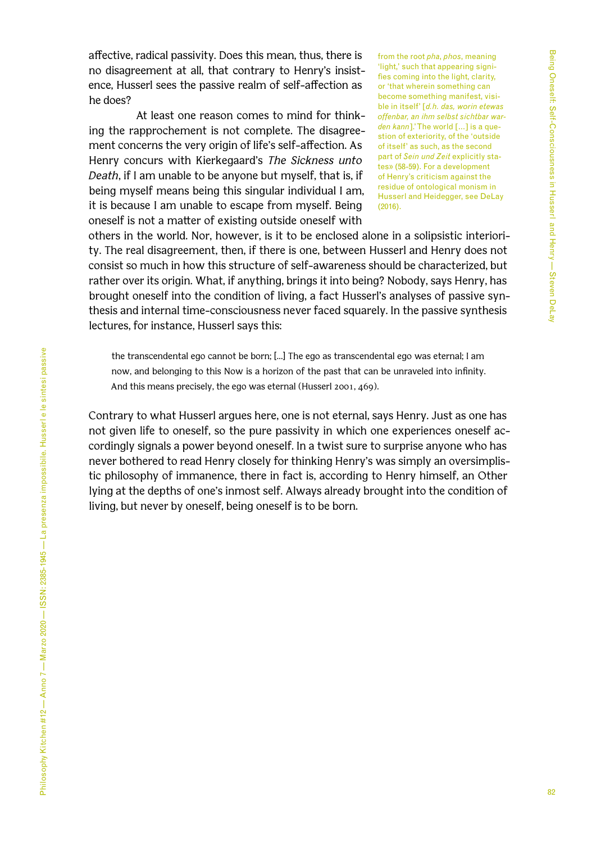affective, radical passivity. Does this mean, thus, there is no disagreement at all, that contrary to Henry's insistence, Husserl sees the passive realm of self-affection as he does?

At least one reason comes to mind for thinking the rapprochement is not complete. The disagreement concerns the very origin of life's self-affection. As Henry concurs with Kierkegaard's *The Sickness unto Death*, if I am unable to be anyone but myself, that is, if being myself means being this singular individual I am, it is because I am unable to escape from myself. Being oneself is not a matter of existing outside oneself with

from the root *pha*, *phos*, meaning 'light,' such that appearing signifies coming into the light, clarity, or 'that wherein something can become something manifest, visible in itself' [*d.h. das, worin etewas offenbar, an ihm selbst sichtbar warden kann*].' The world […] is a question of exteriority, of the 'outside of itself' as such, as the second part of *Sein und Zeit* explicitly states» (58-59). For a development of Henry's criticism against the residue of ontological monism in Husserl and Heidegger, see DeLay (2016).

others in the world. Nor, however, is it to be enclosed alone in a solipsistic interiority. The real disagreement, then, if there is one, between Husserl and Henry does not consist so much in how this structure of self-awareness should be characterized, but rather over its origin. What, if anything, brings it into being? Nobody, says Henry, has brought oneself into the condition of living, a fact Husserl's analyses of passive synthesis and internal time-consciousness never faced squarely. In the passive synthesis lectures, for instance, Husserl says this:

the transcendental ego cannot be born; […] The ego as transcendental ego was eternal; I am now, and belonging to this Now is a horizon of the past that can be unraveled into infinity. And this means precisely, the ego was eternal (Husserl 2001, 469).

Contrary to what Husserl argues here, one is not eternal, says Henry. Just as one has not given life to oneself, so the pure passivity in which one experiences oneself accordingly signals a power beyond oneself. In a twist sure to surprise anyone who has never bothered to read Henry closely for thinking Henry's was simply an oversimplistic philosophy of immanence, there in fact is, according to Henry himself, an Other lying at the depths of one's inmost self. Always already brought into the condition of living, but never by oneself, being oneself is to be born.